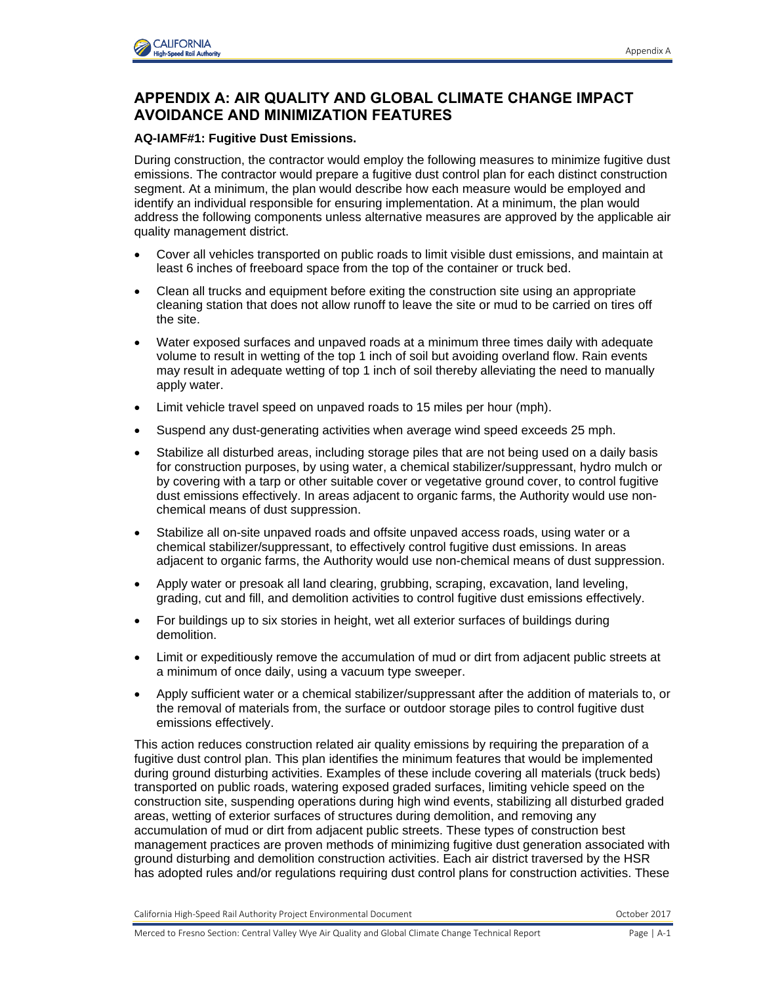

## **APPENDIX A: AIR QUALITY AND GLOBAL CLIMATE CHANGE IMPACT AVOIDANCE AND MINIMIZATION FEATURES**

## **AQ-IAMF#1: Fugitive Dust Emissions.**

During construction, the contractor would employ the following measures to minimize fugitive dust emissions. The contractor would prepare a fugitive dust control plan for each distinct construction segment. At a minimum, the plan would describe how each measure would be employed and identify an individual responsible for ensuring implementation. At a minimum, the plan would address the following components unless alternative measures are approved by the applicable air quality management district.

- Cover all vehicles transported on public roads to limit visible dust emissions, and maintain at least 6 inches of freeboard space from the top of the container or truck bed.
- Clean all trucks and equipment before exiting the construction site using an appropriate cleaning station that does not allow runoff to leave the site or mud to be carried on tires off the site.
- Water exposed surfaces and unpaved roads at a minimum three times daily with adequate volume to result in wetting of the top 1 inch of soil but avoiding overland flow. Rain events may result in adequate wetting of top 1 inch of soil thereby alleviating the need to manually apply water.
- Limit vehicle travel speed on unpaved roads to 15 miles per hour (mph).
- Suspend any dust-generating activities when average wind speed exceeds 25 mph.
- Stabilize all disturbed areas, including storage piles that are not being used on a daily basis for construction purposes, by using water, a chemical stabilizer/suppressant, hydro mulch or by covering with a tarp or other suitable cover or vegetative ground cover, to control fugitive dust emissions effectively. In areas adjacent to organic farms, the Authority would use nonchemical means of dust suppression.
- Stabilize all on-site unpaved roads and offsite unpaved access roads, using water or a chemical stabilizer/suppressant, to effectively control fugitive dust emissions. In areas adjacent to organic farms, the Authority would use non-chemical means of dust suppression.
- Apply water or presoak all land clearing, grubbing, scraping, excavation, land leveling, grading, cut and fill, and demolition activities to control fugitive dust emissions effectively.
- For buildings up to six stories in height, wet all exterior surfaces of buildings during demolition.
- Limit or expeditiously remove the accumulation of mud or dirt from adjacent public streets at a minimum of once daily, using a vacuum type sweeper.
- Apply sufficient water or a chemical stabilizer/suppressant after the addition of materials to, or the removal of materials from, the surface or outdoor storage piles to control fugitive dust emissions effectively.

This action reduces construction related air quality emissions by requiring the preparation of a fugitive dust control plan. This plan identifies the minimum features that would be implemented during ground disturbing activities. Examples of these include covering all materials (truck beds) transported on public roads, watering exposed graded surfaces, limiting vehicle speed on the construction site, suspending operations during high wind events, stabilizing all disturbed graded areas, wetting of exterior surfaces of structures during demolition, and removing any accumulation of mud or dirt from adjacent public streets. These types of construction best management practices are proven methods of minimizing fugitive dust generation associated with ground disturbing and demolition construction activities. Each air district traversed by the HSR has adopted rules and/or regulations requiring dust control plans for construction activities. These

California High-Speed Rail Authority Project Environmental Document October 2017